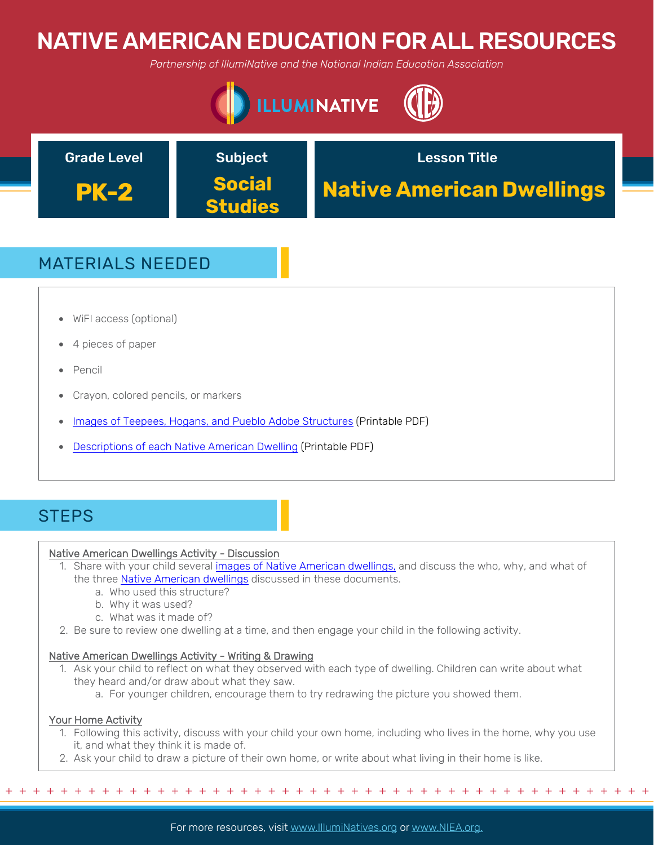# NATIVE AMERICAN EDUCATION FOR ALL RESOURCES

*Partnership of IllumiNative and the National Indian Education Association*





## MATERIALS NEEDED

- WiFI access (optional)
- 4 pieces of paper
- Pencil
- Crayon, colored pencils, or markers
- Images of Teepees, Hogans, and Pueblo Adobe Structures (Printable PDF)
- Descriptions of each Native American Dwelling (Printable PDF)

## **STEPS**

### Native American Dwellings Activity - Discussion

- 1. Share with your child several images of Native American dwellings, and discuss the who, why, and what of the three Native American dwellings discussed in these documents.
	- a. Who used this structure?
	- b. Why it was used?
	- c. What was it made of?
- 2. Be sure to review one dwelling at a time, and then engage your child in the following activity.

### Native American Dwellings Activity - Writing & Drawing

- 1. Ask your child to reflect on what they observed with each type of dwelling. Children can write about what they heard and/or draw about what they saw.
	- a. For younger children, encourage them to try redrawing the picture you showed them.

### Your Home Activity

1. Following this activity, discuss with your child your own home, including who lives in the home, why you use it, and what they think it is made of.

+ + + + + + + + + + + + + + + + + + + + + + + + + + + + + + + + + + + + + + + + + + + + + + + +

2. Ask your child to draw a picture of their own home, or write about what living in their home is like.

For more resources, visit www.lllumiNatives.org or www.NIEA.org.